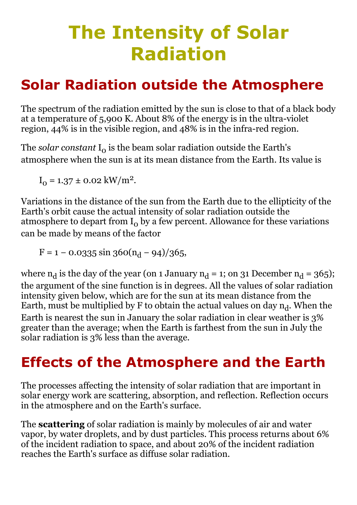# The Intensity of Solar Radiation

# Solar Radiation outside the Atmosphere

The spectrum of the radiation emitted by the sun is close to that of a black body at a temperature of 5,900 K. About 8% of the energy is in the ultra-violet region, 44% is in the visible region, and 48% is in the infra-red region.

The *solar constant*  $I_0$  is the beam solar radiation outside the Earth's atmosphere when the sun is at its mean distance from the Earth. Its value is

 $I_0 = 1.37 \pm 0.02$  kW/m<sup>2</sup>.

Variations in the distance of the sun from the Earth due to the ellipticity of the Earth's orbit cause the actual intensity of solar radiation outside the atmosphere to depart from  $I_0$  by a few percent. Allowance for these variations can be made by means of the factor

 $F = 1 - 0.0335 \sin 360(n_d - 94)/365,$ 

where  $n_d$  is the day of the year (on 1 January  $n_d = 1$ ; on 31 December  $n_d = 365$ ); the argument of the sine function is in degrees. All the values of solar radiation intensity given below, which are for the sun at its mean distance from the Earth, must be multiplied by F to obtain the actual values on day  $\mathrm{n_{d}.}$  When the Earth is nearest the sun in January the solar radiation in clear weather is 3% greater than the average; when the Earth is farthest from the sun in July the solar radiation is 3% less than the average.

# Effects of the Atmosphere and the Earth

The processes affecting the intensity of solar radiation that are important in solar energy work are scattering, absorption, and reflection. Reflection occurs in the atmosphere and on the Earth's surface.

The **scattering** of solar radiation is mainly by molecules of air and water vapor, by water droplets, and by dust particles. This process returns about 6% of the incident radiation to space, and about 20% of the incident radiation reaches the Earth's surface as diffuse solar radiation.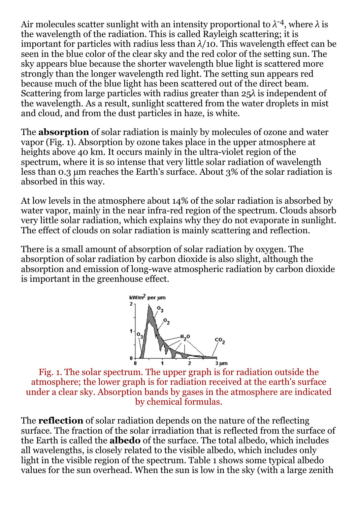Air molecules scatter sunlight with an intensity proportional to *λ* -4, where *λ* is the wavelength of the radiation. This is called Rayleigh scattering; it is important for particles with radius less than  $\lambda/10$ . This wavelength effect can be seen in the blue color of the clear sky and the red color of the setting sun. The sky appears blue because the shorter wavelength blue light is scattered more strongly than the longer wavelength red light. The setting sun appears red because much of the blue light has been scattered out of the direct beam. Scattering from large particles with radius greater than 25*λ* is independent of the wavelength. As a result, sunlight scattered from the water droplets in mist and cloud, and from the dust particles in haze, is white.

The **absorption** of solar radiation is mainly by molecules of ozone and water vapor (Fig. 1). Absorption by ozone takes place in the upper atmosphere at heights above 40 km. It occurs mainly in the ultra-violet region of the spectrum, where it is so intense that very little solar radiation of wavelength less than 0.3 µm reaches the Earth's surface. About 3% of the solar radiation is absorbed in this way.

At low levels in the atmosphere about 14% of the solar radiation is absorbed by water vapor, mainly in the near infra-red region of the spectrum. Clouds absorb very little solar radiation, which explains why they do not evaporate in sunlight. The effect of clouds on solar radiation is mainly scattering and reflection.

There is a small amount of absorption of solar radiation by oxygen. The absorption of solar radiation by carbon dioxide is also slight, although the absorption and emission of long-wave atmospheric radiation by carbon dioxide is important in the greenhouse effect.



Fig. 1. The solar spectrum. The upper graph is for radiation outside the atmosphere; the lower graph is for radiation received at the earth's surface under a clear sky. Absorption bands by gases in the atmosphere are indicated by chemical formulas.

The reflection of solar radiation depends on the nature of the reflecting surface. The fraction of the solar irradiation that is reflected from the surface of the Earth is called the albedo of the surface. The total albedo, which includes all wavelengths, is closely related to the visible albedo, which includes only light in the visible region of the spectrum. Table 1 shows some typical albedo values for the sun overhead. When the sun is low in the sky (with a large zenith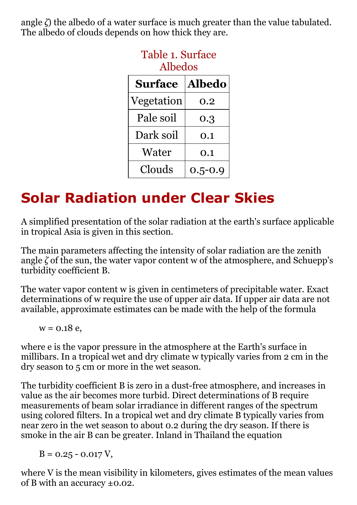angle *ζ*) the albedo of a water surface is much greater than the value tabulated. The albedo of clouds depends on how thick they are.

| <b>Albedos</b> |               |  |  |
|----------------|---------------|--|--|
| <b>Surface</b> | <b>Albedo</b> |  |  |
| Vegetation     | 0.2           |  |  |
| Pale soil      | 0.3           |  |  |
| Dark soil      | 0.1           |  |  |
| Water          | 0.1           |  |  |
| Clouds         | $0.5 - 0.9$   |  |  |

# Table 1. Surface

# Solar Radiation under Clear Skies

A simplified presentation of the solar radiation at the earth's surface applicable in tropical Asia is given in this section.

The main parameters affecting the intensity of solar radiation are the zenith angle *ζ* of the sun, the water vapor content w of the atmosphere, and Schuepp's turbidity coefficient B.

The water vapor content w is given in centimeters of precipitable water. Exact determinations of w require the use of upper air data. If upper air data are not available, approximate estimates can be made with the help of the formula

 $w = 0.18$  e,

where e is the vapor pressure in the atmosphere at the Earth's surface in millibars. In a tropical wet and dry climate w typically varies from 2 cm in the dry season to 5 cm or more in the wet season.

The turbidity coefficient B is zero in a dust-free atmosphere, and increases in value as the air becomes more turbid. Direct determinations of B require measurements of beam solar irradiance in different ranges of the spectrum using colored filters. In a tropical wet and dry climate B typically varies from near zero in the wet season to about 0.2 during the dry season. If there is smoke in the air B can be greater. Inland in Thailand the equation

 $B = 0.25 - 0.017$  V,

where V is the mean visibility in kilometers, gives estimates of the mean values of B with an accuracy ±0.02.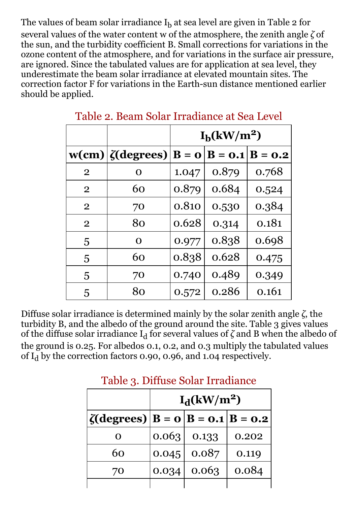The values of beam solar irradiance  ${\rm I}_{{\rm b}}$  at sea level are given in Table 2 for several values of the water content w of the atmosphere, the zenith angle *ζ* of the sun, and the turbidity coefficient B. Small corrections for variations in the ozone content of the atmosphere, and for variations in the surface air pressure, are ignored. Since the tabulated values are for application at sea level, they underestimate the beam solar irradiance at elevated mountain sites. The correction factor F for variations in the Earth-sun distance mentioned earlier should be applied.

|                |                         | $I_h(kW/m^2)$             |                    |       |
|----------------|-------------------------|---------------------------|--------------------|-------|
|                | $w(cm)/\zeta (degrees)$ | $\mathbf{B} = \mathbf{O}$ | $ B = 0.1 B = 0.2$ |       |
| $\overline{2}$ | O                       | 1.047                     | 0.879              | 0.768 |
| $\overline{2}$ | 60                      | 0.879                     | 0.684              | 0.524 |
| $\overline{2}$ | 70                      | 0.810                     | 0.530              | 0.384 |
| $\overline{2}$ | 80                      | 0.628                     | 0.314              | 0.181 |
| 5              | O                       | 0.977                     | 0.838              | 0.698 |
| 5              | 60                      | 0.838                     | 0.628              | 0.475 |
| 5              | 70                      | 0.740                     | 0.489              | 0.349 |
| 5              | 80                      | 0.572                     | 0.286              | 0.161 |

Table 2. Beam Solar Irradiance at Sea Level

Diffuse solar irradiance is determined mainly by the solar zenith angle *ζ*, the turbidity B, and the albedo of the ground around the site. Table 3 gives values of the diffuse solar irradiance  $\mathrm{I}_\mathrm{d}$  for several values of  $\zeta$  and B when the albedo of the ground is 0.25. For albedos 0.1, 0.2, and 0.3 multiply the tabulated values of  $I_d$  by the correction factors 0.90, 0.96, and 1.04 respectively.

|                                                | $I_d(kW/m^2)$ |       |       |  |
|------------------------------------------------|---------------|-------|-------|--|
| $ \zeta(\text{degrees}) B = 0 B = 0.1 B = 0.2$ |               |       |       |  |
| O                                              | 0.063         | 0.133 | 0.202 |  |
| 60                                             | 0.045         | 0.087 | 0.119 |  |
| 70                                             | 0.034         | 0.063 | 0.084 |  |
|                                                |               |       |       |  |

#### Table 3. Diffuse Solar Irradiance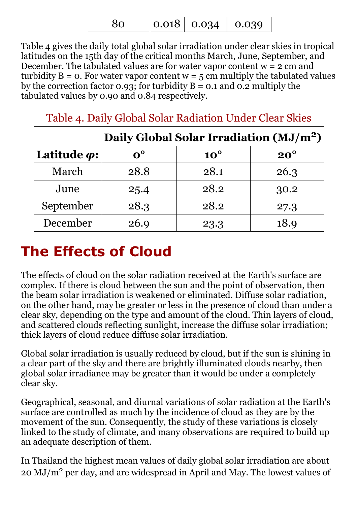80 0.018 0.034 0.039

Table 4 gives the daily total global solar irradiation under clear skies in tropical latitudes on the 15th day of the critical months March, June, September, and December. The tabulated values are for water vapor content  $w = 2$  cm and turbidity  $B = o$ . For water vapor content  $w = 5$  cm multiply the tabulated values by the correction factor 0.93; for turbidity  $B = 0.1$  and 0.2 multiply the tabulated values by 0.90 and 0.84 respectively.

|                                   | Daily Global Solar Irradiation (MJ/m <sup>2</sup> ) |              |            |  |
|-----------------------------------|-----------------------------------------------------|--------------|------------|--|
| Latitude $\boldsymbol{\varphi}$ : | $0^{\circ}$                                         | $10^{\circ}$ | $20^\circ$ |  |
| March                             | 28.8                                                | 28.1         | 26.3       |  |
| June                              | 25.4                                                | 28.2         | 30.2       |  |
| September                         | 28.3                                                | 28.2         | 27.3       |  |
| December                          | 26.9                                                | 23.3         | 18.9       |  |

Table 4. Daily Global Solar Radiation Under Clear Skies

### The Effects of Cloud

The effects of cloud on the solar radiation received at the Earth's surface are complex. If there is cloud between the sun and the point of observation, then the beam solar irradiation is weakened or eliminated. Diffuse solar radiation, on the other hand, may be greater or less in the presence of cloud than under a clear sky, depending on the type and amount of the cloud. Thin layers of cloud, and scattered clouds reflecting sunlight, increase the diffuse solar irradiation; thick layers of cloud reduce diffuse solar irradiation.

Global solar irradiation is usually reduced by cloud, but if the sun is shining in a clear part of the sky and there are brightly illuminated clouds nearby, then global solar irradiance may be greater than it would be under a completely clear sky.

Geographical, seasonal, and diurnal variations of solar radiation at the Earth's surface are controlled as much by the incidence of cloud as they are by the movement of the sun. Consequently, the study of these variations is closely linked to the study of climate, and many observations are required to build up an adequate description of them.

In Thailand the highest mean values of daily global solar irradiation are about 20 MJ/m<sup>2</sup> per day, and are widespread in April and May. The lowest values of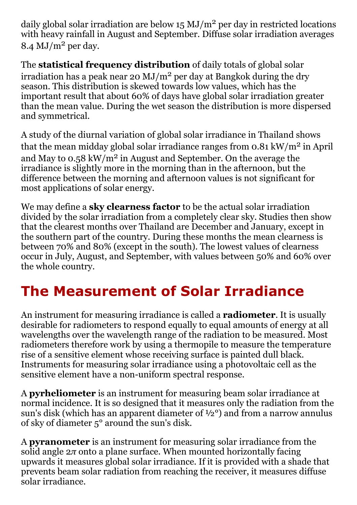daily global solar irradiation are below  $15 \text{ MJ/m}^2$  per day in restricted locations with heavy rainfall in August and September. Diffuse solar irradiation averages  $8.4 \text{ MJ/m}^2$  per day.

The **statistical frequency distribution** of daily totals of global solar irradiation has a peak near 20  $MJ/m^2$  per day at Bangkok during the dry season. This distribution is skewed towards low values, which has the important result that about 60% of days have global solar irradiation greater than the mean value. During the wet season the distribution is more dispersed and symmetrical.

A study of the diurnal variation of global solar irradiance in Thailand shows that the mean midday global solar irradiance ranges from  $0.81 \text{ kW/m}^2$  in April and May to  $0.58 \text{ kW/m}^2$  in August and September. On the average the irradiance is slightly more in the morning than in the afternoon, but the difference between the morning and afternoon values is not significant for most applications of solar energy.

We may define a **sky clearness factor** to be the actual solar irradiation divided by the solar irradiation from a completely clear sky. Studies then show that the clearest months over Thailand are December and January, except in the southern part of the country. During these months the mean clearness is between 70% and 80% (except in the south). The lowest values of clearness occur in July, August, and September, with values between 50% and 60% over the whole country.

# The Measurement of Solar Irradiance

An instrument for measuring irradiance is called a **radiometer**. It is usually desirable for radiometers to respond equally to equal amounts of energy at all wavelengths over the wavelength range of the radiation to be measured. Most radiometers therefore work by using a thermopile to measure the temperature rise of a sensitive element whose receiving surface is painted dull black. Instruments for measuring solar irradiance using a photovoltaic cell as the sensitive element have a non-uniform spectral response.

A pyrheliometer is an instrument for measuring beam solar irradiance at normal incidence. It is so designed that it measures only the radiation from the sun's disk (which has an apparent diameter of  $\frac{1}{2}$ °) and from a narrow annulus of sky of diameter 5° around the sun's disk.

A pyranometer is an instrument for measuring solar irradiance from the solid angle 2*π* onto a plane surface. When mounted horizontally facing upwards it measures global solar irradiance. If it is provided with a shade that prevents beam solar radiation from reaching the receiver, it measures diffuse solar irradiance.